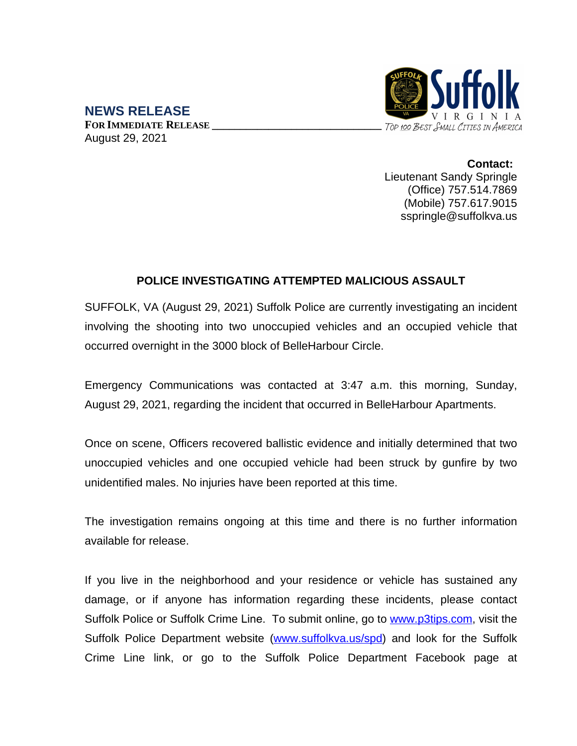

**NEWS RELEASE FOR IMMEDIATE RELEASE \_\_\_\_\_\_\_\_\_\_\_\_\_\_\_\_\_\_\_\_\_\_\_\_\_\_\_\_\_\_** August 29, 2021

> **Contact:** Lieutenant Sandy Springle (Office) 757.514.7869 (Mobile) 757.617.9015 sspringle@suffolkva.us

## **POLICE INVESTIGATING ATTEMPTED MALICIOUS ASSAULT**

SUFFOLK, VA (August 29, 2021) Suffolk Police are currently investigating an incident involving the shooting into two unoccupied vehicles and an occupied vehicle that occurred overnight in the 3000 block of BelleHarbour Circle.

Emergency Communications was contacted at 3:47 a.m. this morning, Sunday, August 29, 2021, regarding the incident that occurred in BelleHarbour Apartments.

Once on scene, Officers recovered ballistic evidence and initially determined that two unoccupied vehicles and one occupied vehicle had been struck by gunfire by two unidentified males. No injuries have been reported at this time.

The investigation remains ongoing at this time and there is no further information available for release.

If you live in the neighborhood and your residence or vehicle has sustained any damage, or if anyone has information regarding these incidents, please contact Suffolk Police or Suffolk Crime Line. To submit online, go to [www.p3tips.com](http://www.p3tips.com), visit the Suffolk Police Department website ([www.suffolkva.us/spd\)](http://www.suffolkva.us/spd) and look for the Suffolk Crime Line link, or go to the Suffolk Police Department Facebook page at